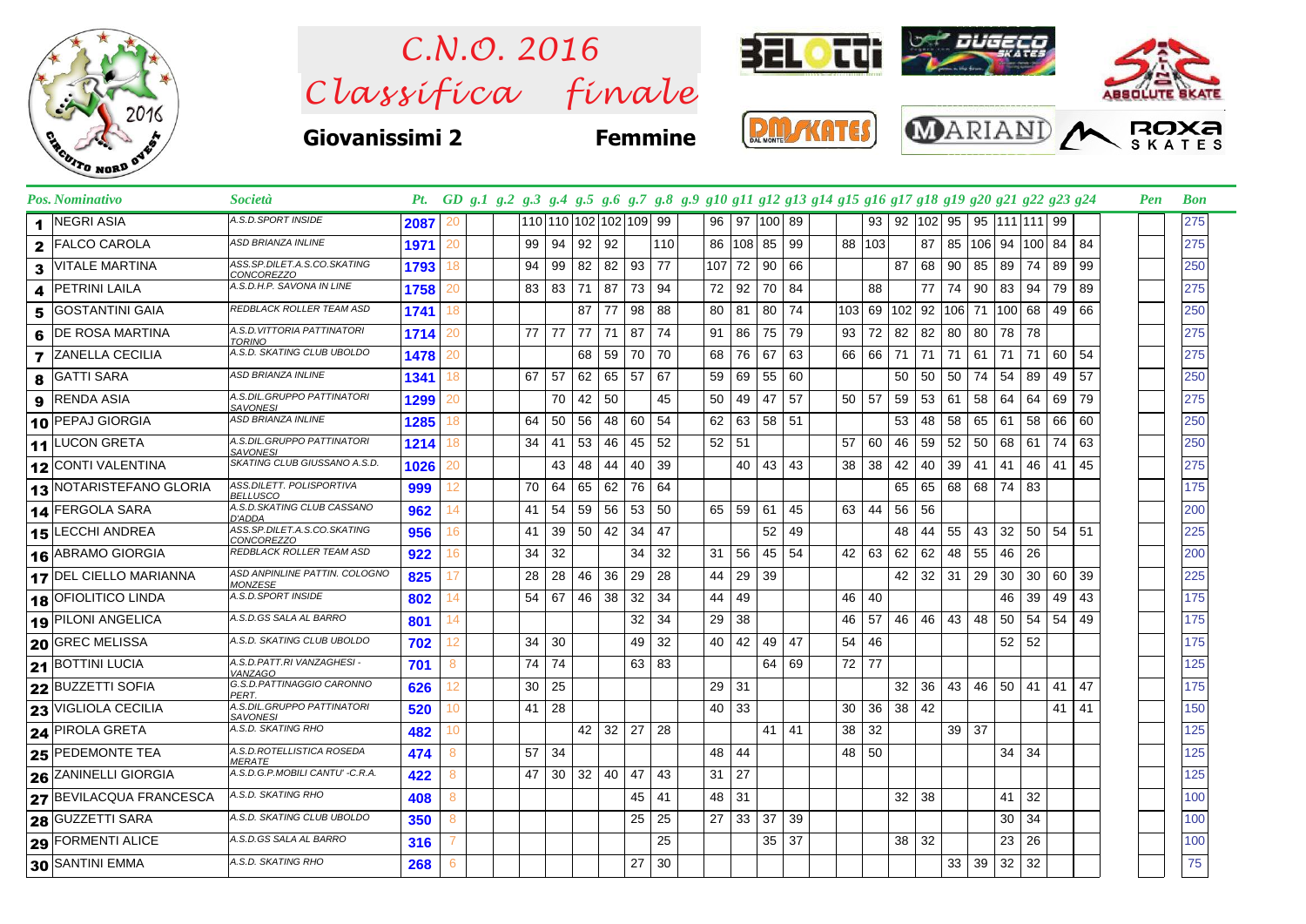

 $Clas$ s *ifica* finale *C.N.O. 2016*



**Giovanissimi 2 Femmine**







|   | Pos. Nominativo          | <i>Società</i>                                |      |    |    |                        |                      |    |              |     | Pt. GD g.1 g.2 g.3 g.4 g.5 g.6 g.7 g.8 g.9 g10 g11 g12 g13 g14 g15 g16 g17 g18 g19 g20 g21 g22 g23 g24 |                      |                    |    |                 |                                   |              |                   |                 |    |                                          |              |       |     | Pen | <b>Bon</b> |  |
|---|--------------------------|-----------------------------------------------|------|----|----|------------------------|----------------------|----|--------------|-----|--------------------------------------------------------------------------------------------------------|----------------------|--------------------|----|-----------------|-----------------------------------|--------------|-------------------|-----------------|----|------------------------------------------|--------------|-------|-----|-----|------------|--|
|   | 1 NEGRI ASIA             | A.S.D.SPORT INSIDE                            | 2087 | 20 |    | 110 110 102 102 109 99 |                      |    |              |     |                                                                                                        |                      | 96   97   100   89 |    |                 |                                   |              |                   |                 |    | 93   92   102   95   95   111   111   99 |              |       |     |     | 275        |  |
|   | 2 FALCO CAROLA           | ASD BRIANZA INLINE                            | 1971 | 20 | 99 |                        | 94 92 92             |    |              | 110 |                                                                                                        |                      | 86 108 85 99       |    |                 | 88   103                          |              |                   |                 |    | 87   85   106   94   100   84            |              |       | 84  |     | 275        |  |
| 3 | <b>VITALE MARTINA</b>    | ASS.SP.DILET.A.S.CO.SKATING<br>CONCOREZZO     | 1793 | 18 | 94 | 99                     | 82 82                |    | 93 77        |     |                                                                                                        |                      | 107 72 90 66       |    |                 |                                   | 87           |                   |                 |    | 68   90   85   89   74   89              |              |       | 99  |     | 250        |  |
| 4 | <b>PETRINI LAILA</b>     | A.S.D.H.P. SAVONA IN LINE                     | 1758 | 20 | 83 |                        | 83 71 87             |    | 73 94        |     |                                                                                                        | 72 92                | 70 84              |    |                 | 88                                |              | 77 I              |                 |    | 74 90 83 94 79                           |              |       | 89  |     | 275        |  |
| 5 | <b>GOSTANTINI GAIA</b>   | REDBLACK ROLLER TEAM ASD                      | 1741 | 18 |    |                        | $87$   77            |    | 98           | 88  |                                                                                                        |                      | 80   81   80   74  |    |                 |                                   |              |                   |                 |    | 103 69 102 92 106 71 100 68 49           |              |       | 66  |     | 250        |  |
| 6 | <b>DE ROSA MARTINA</b>   | A.S.D.VITTORIA PATTINATORI<br>TORINO          | 1714 | 20 | 77 | 77 77 71               |                      |    | 87           | 74  |                                                                                                        | $91$ 86              | 75 79              |    |                 | $93$ 72 82                        |              | 82                | 80              | 80 | 78 78                                    |              |       |     |     | 275        |  |
|   | <b>7</b> ZANELLA CECILIA | A.S.D. SKATING CLUB UBOLDO                    | 1478 | 20 |    |                        | 68 59                |    | 70 70        |     |                                                                                                        | 68 76                | 67                 | 63 |                 | 66 66                             | 71           |                   |                 |    | 71   71   61   71   71   60              |              |       | 54  |     | 275        |  |
| 8 | <b>GATTI SARA</b>        | ASD BRIANZA INLINE                            | 1341 | 18 | 67 | 57                     | $62 \mid 65$         |    | 57           | 67  |                                                                                                        | 59   69              | 55 60              |    |                 |                                   |              | 50 50             | 50 74           |    | 54                                       | 89           | -49   | 57  |     | 250        |  |
| 9 | <b>RENDA ASIA</b>        | A.S.DIL.GRUPPO PATTINATORI<br><b>SAVONESI</b> | 1299 |    |    | 70                     | 42 50                |    |              | 45  |                                                                                                        | 50 49                | 47 57              |    | $50$   57       |                                   |              |                   | $59$ 53 61      | 58 | 64 64                                    |              | 69    | 79  |     | 275        |  |
|   | 10 PEPAJ GIORGIA         | ASD BRIANZA INLINE                            | 1285 | 18 | 64 | 50                     | 56                   | 48 | 60           | 54  |                                                                                                        | 62   63              | 58 51              |    |                 |                                   | 53           | 48                | 58              | 65 | -61                                      | 58           | 66    | 60  |     | 250        |  |
|   | 11 LUCON GRETA           | A.S.DIL.GRUPPO PATTINATORI<br><b>SAVONESI</b> | 1214 | 18 | 34 | 41                     | 53                   | 46 | 45           | 52  | 52   51                                                                                                |                      |                    |    | 57              | 60                                | 46           | 59                | 52              | 50 | 68 61                                    |              | 74    | 63  |     | 250        |  |
|   | 12 CONTI VALENTINA       | SKATING CLUB GIUSSANO A.S.D.                  | 1026 | 20 |    | 43                     | 48                   | 44 | 40           | 39  |                                                                                                        |                      | 40 43 43           |    | 38              | 38                                | 42           | 40                | 39              | 41 | 41                                       |              | 46 41 | 45  |     | 275        |  |
|   | 13 NOTARISTEFANO GLORIA  | ASS.DILETT. POLISPORTIVA<br><b>BELLUSCO</b>   | 999  | 12 | 70 | 64                     | 65 62                |    | 76           | 64  |                                                                                                        |                      |                    |    |                 |                                   |              |                   |                 |    | 65 65 68 68 74 83                        |              |       |     |     | 175        |  |
|   | 14 FERGOLA SARA          | A.S.D.SKATING CLUB CASSANO<br>D'ADDA          | 962  | 14 | 41 | 54                     | 59 56                |    | 53 50        |     |                                                                                                        | 65 59                | $61$ 45            |    | 63 44           |                                   | 56 56        |                   |                 |    |                                          |              |       |     |     | 200        |  |
|   | <b>15 LECCHI ANDREA</b>  | ASS.SP.DILET.A.S.CO.SKATING<br>CONCOREZZO     | 956  | 16 | 41 |                        | 39 50 42             |    | $34 \mid 47$ |     |                                                                                                        |                      | $52 \mid 49$       |    |                 |                                   | 48           | 44                | 55              |    | 43 32 50 54                              |              |       | -51 |     | 225        |  |
|   | 16 ABRAMO GIORGIA        | REDBLACK ROLLER TEAM ASD                      | 922  | 16 | 34 | 32                     |                      |    | 34           | 32  |                                                                                                        | 31   56              | 45 54              |    |                 | $42 \mid 63 \mid 62 \mid 62 \mid$ |              |                   | 48 55           |    | 46 26                                    |              |       |     |     | 200        |  |
|   | 17 DEL CIELLO MARIANNA   | ASD ANPINLINE PATTIN. COLOGNO<br>MONZESE      | 825  | 17 | 28 | 28                     | 46 36                |    | $29 \mid 28$ |     | 44                                                                                                     | 29 39                |                    |    |                 |                                   |              |                   | $42$ 32 31 29   |    | 30   30   60                             |              |       | 39  |     | 225        |  |
|   | 18 OFIOLITICO LINDA      | A.S.D.SPORT INSIDE                            | 802  | 14 | 54 | 67                     | 46 38                |    | 32           | 34  | 44                                                                                                     | - 49                 |                    |    | 46              | 40                                |              |                   |                 |    | 46                                       | 39           | 49    | 43  |     | 175        |  |
|   | 19 PILONI ANGELICA       | A.S.D.GS SALA AL BARRO                        | 801  | 14 |    |                        |                      |    | 32           | 34  | $29 \mid 38$                                                                                           |                      |                    |    | 46              | 57 <sup>1</sup>                   |              |                   | 46 46 43 48     |    | $50 \mid 54 \mid 54$                     |              |       | 49  |     | 175        |  |
|   | 20 GREC MELISSA          | A.S.D. SKATING CLUB UBOLDO                    | 702  | 12 | 34 | -30                    |                      |    | 49           | 32  |                                                                                                        | $40 \mid 42$         | 49   47            |    | 54 46           |                                   |              |                   |                 |    |                                          | 52 52        |       |     |     | 175        |  |
|   | 21 BOTTINI LUCIA         | A.S.D.PATT.RI VANZAGHESI -<br>VANZAGO         | 701  | 8  | 74 | 74                     |                      |    | 63   83      |     |                                                                                                        |                      | 64 69              |    | 72 77           |                                   |              |                   |                 |    |                                          |              |       |     |     | 125        |  |
|   | 22 BUZZETTI SOFIA        | G.S.D.PATTINAGGIO CARONNO<br>PERT.            | 626  | 12 | 30 | 25                     |                      |    |              |     | 29 31                                                                                                  |                      |                    |    |                 |                                   |              | $32 \mid 36 \mid$ | 43 46           |    | $50$ 41                                  |              | 41    | 47  |     | 175        |  |
|   | 23 VIGLIOLA CECILIA      | A.S.DIL.GRUPPO PATTINATORI<br><b>SAVONESI</b> | 520  | 10 | 41 | 28                     |                      |    |              |     | 40 33                                                                                                  |                      |                    |    | 30              | 36                                | $38 \mid 42$ |                   |                 |    |                                          |              | 41    | 41  |     | 150        |  |
|   | 24 PIROLA GRETA          | A.S.D. SKATING RHO                            | 482  | 10 |    |                        | 42 32                |    | 27           | -28 |                                                                                                        |                      | $41 \mid 41$       |    | 38 <sup>1</sup> | 32                                |              |                   | 39 37           |    |                                          |              |       |     |     | 125        |  |
|   | 25 PEDEMONTE TEA         | A.S.D.ROTELLISTICA ROSEDA<br><b>MERATE</b>    | 474  | 8  | 57 | 34                     |                      |    |              |     | 48 44                                                                                                  |                      |                    |    | 48 50           |                                   |              |                   |                 |    |                                          | 34 34        |       |     |     | 125        |  |
|   | 26 ZANINELLI GIORGIA     | A.S.D.G.P.MOBILI CANTU' -C.R.A.               | 422  | 8  | 47 |                        | $30 \mid 32 \mid 40$ |    | 47           | 43  | $31 \mid 27$                                                                                           |                      |                    |    |                 |                                   |              |                   |                 |    |                                          |              |       |     |     | 125        |  |
|   | 27 BEVILACQUA FRANCESCA  | A.S.D. SKATING RHO                            | 408  | 8  |    |                        |                      |    | 45           | 41  | 48 31                                                                                                  |                      |                    |    |                 |                                   | $32 \mid 38$ |                   |                 |    | 41                                       | 32           |       |     |     | 100        |  |
|   | 28 GUZZETTI SARA         | A.S.D. SKATING CLUB UBOLDO                    | 350  | 8  |    |                        |                      |    | 25           | 25  |                                                                                                        | $27 \mid 33 \mid 37$ |                    | 39 |                 |                                   |              |                   |                 |    | 30 <sub>1</sub>                          | 34           |       |     |     | 100        |  |
|   | 29 FORMENTI ALICE        | A.S.D.GS SALA AL BARRO                        | 316  |    |    |                        |                      |    |              | 25  |                                                                                                        |                      | $35 \mid 37$       |    |                 |                                   | 38 32        |                   |                 |    |                                          | $23 \mid 26$ |       |     |     | 100        |  |
|   | 30 SANTINI EMMA          | A.S.D. SKATING RHO                            | 268  | 6  |    |                        |                      |    | 27           | 30  |                                                                                                        |                      |                    |    |                 |                                   |              |                   | 33 <sup>1</sup> | 39 | $32$ 32                                  |              |       |     |     | 75         |  |
|   |                          |                                               |      |    |    |                        |                      |    |              |     |                                                                                                        |                      |                    |    |                 |                                   |              |                   |                 |    |                                          |              |       |     |     |            |  |